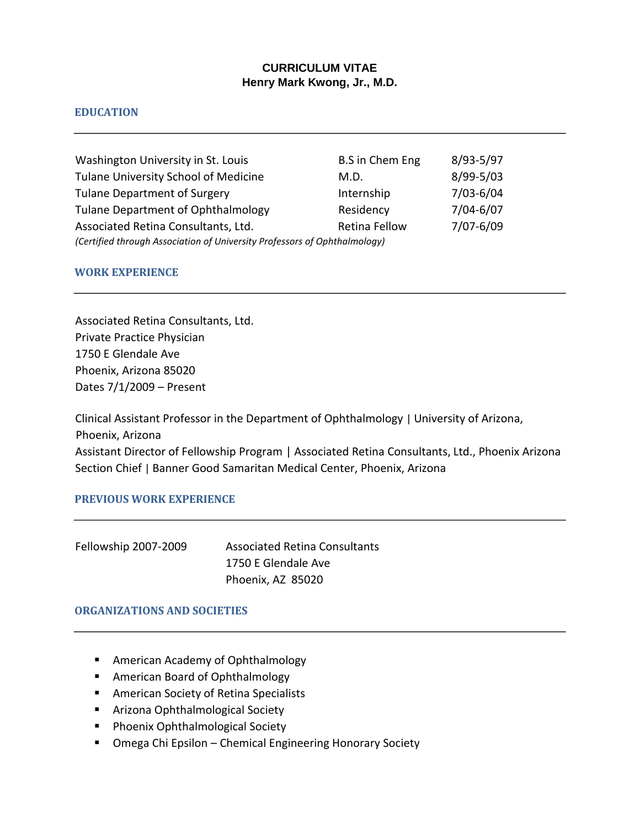# **CURRICULUM VITAE Henry Mark Kwong, Jr., M.D.**

# **EDUCATION**

| Washington University in St. Louis                                        | <b>B.S</b> in Chem Eng | 8/93-5/97     |
|---------------------------------------------------------------------------|------------------------|---------------|
| Tulane University School of Medicine                                      | M.D.                   | 8/99-5/03     |
| <b>Tulane Department of Surgery</b>                                       | Internship             | 7/03-6/04     |
| <b>Tulane Department of Ophthalmology</b>                                 | Residency              | $7/04 - 6/07$ |
| Associated Retina Consultants, Ltd.                                       | Retina Fellow          | 7/07-6/09     |
| (Certified through Association of University Professors of Ophthalmology) |                        |               |

### **WORK EXPERIENCE**

Associated Retina Consultants, Ltd. Private Practice Physician 1750 E Glendale Ave Phoenix, Arizona 85020 Dates 7/1/2009 – Present

Clinical Assistant Professor in the Department of Ophthalmology | University of Arizona, Phoenix, Arizona Assistant Director of Fellowship Program | Associated Retina Consultants, Ltd., Phoenix Arizona Section Chief | Banner Good Samaritan Medical Center, Phoenix, Arizona

#### **PREVIOUS WORK EXPERIENCE**

| Fellowship 2007-2009 | <b>Associated Retina Consultants</b> |
|----------------------|--------------------------------------|
|                      | 1750 E Glendale Ave                  |
|                      | Phoenix, AZ 85020                    |

#### **ORGANIZATIONS AND SOCIETIES**

- American Academy of Ophthalmology
- American Board of Ophthalmology
- American Society of Retina Specialists
- Arizona Ophthalmological Society
- Phoenix Ophthalmological Society
- Omega Chi Epsilon Chemical Engineering Honorary Society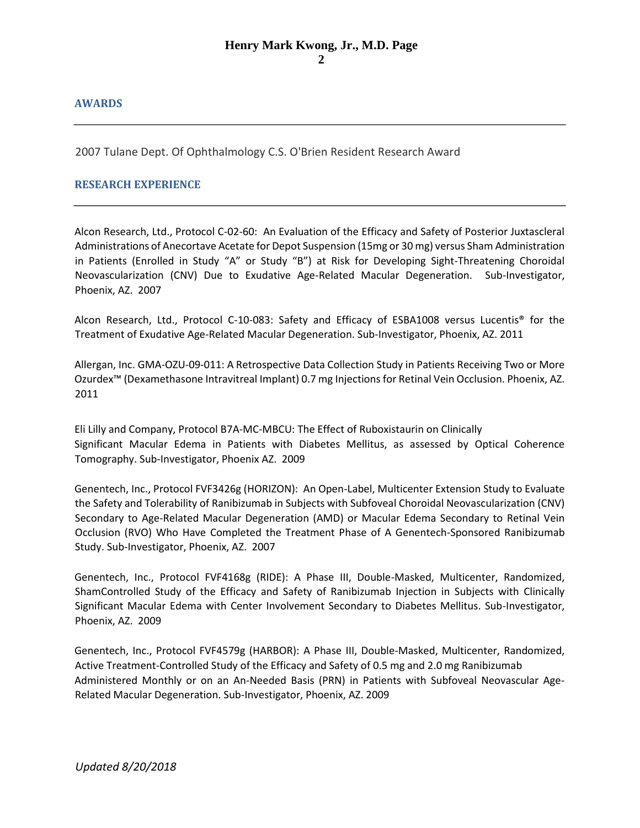# **AWARDS**

2007 Tulane Dept. Of Ophthalmology C.S. O'Brien Resident Research Award

# **RESEARCH EXPERIENCE**

Alcon Research, Ltd., Protocol C-02-60: An Evaluation of the Efficacy and Safety of Posterior Juxtascleral Administrations of Anecortave Acetate for Depot Suspension (15mg or 30 mg) versus Sham Administration in Patients (Enrolled in Study "A" or Study "B") at Risk for Developing Sight-Threatening Choroidal Neovascularization (CNV) Due to Exudative Age-Related Macular Degeneration. Sub-Investigator, Phoenix, AZ. 2007

Alcon Research, Ltd., Protocol C-10-083: Safety and Efficacy of ESBA1008 versus Lucentis® for the Treatment of Exudative Age-Related Macular Degeneration. Sub-Investigator, Phoenix, AZ. 2011

Allergan, Inc. GMA-OZU-09-011: A Retrospective Data Collection Study in Patients Receiving Two or More Ozurdex™ (Dexamethasone Intravitreal Implant) 0.7 mg Injections for Retinal Vein Occlusion. Phoenix, AZ. 2011

Eli Lilly and Company, Protocol B7A-MC-MBCU: The Effect of Ruboxistaurin on Clinically Significant Macular Edema in Patients with Diabetes Mellitus, as assessed by Optical Coherence Tomography. Sub-Investigator, Phoenix AZ. 2009

Genentech, Inc., Protocol FVF3426g (HORIZON): An Open-Label, Multicenter Extension Study to Evaluate the Safety and Tolerability of Ranibizumab in Subjects with Subfoveal Choroidal Neovascularization (CNV) Secondary to Age-Related Macular Degeneration (AMD) or Macular Edema Secondary to Retinal Vein Occlusion (RVO) Who Have Completed the Treatment Phase of A Genentech-Sponsored Ranibizumab Study. Sub-Investigator, Phoenix, AZ. 2007

Genentech, Inc., Protocol FVF4168g (RIDE): A Phase III, Double-Masked, Multicenter, Randomized, ShamControlled Study of the Efficacy and Safety of Ranibizumab Injection in Subjects with Clinically Significant Macular Edema with Center Involvement Secondary to Diabetes Mellitus. Sub-Investigator, Phoenix, AZ. 2009

Genentech, Inc., Protocol FVF4579g (HARBOR): A Phase III, Double-Masked, Multicenter, Randomized, Active Treatment-Controlled Study of the Efficacy and Safety of 0.5 mg and 2.0 mg Ranibizumab Administered Monthly or on an An-Needed Basis (PRN) in Patients with Subfoveal Neovascular Age-Related Macular Degeneration. Sub-Investigator, Phoenix, AZ. 2009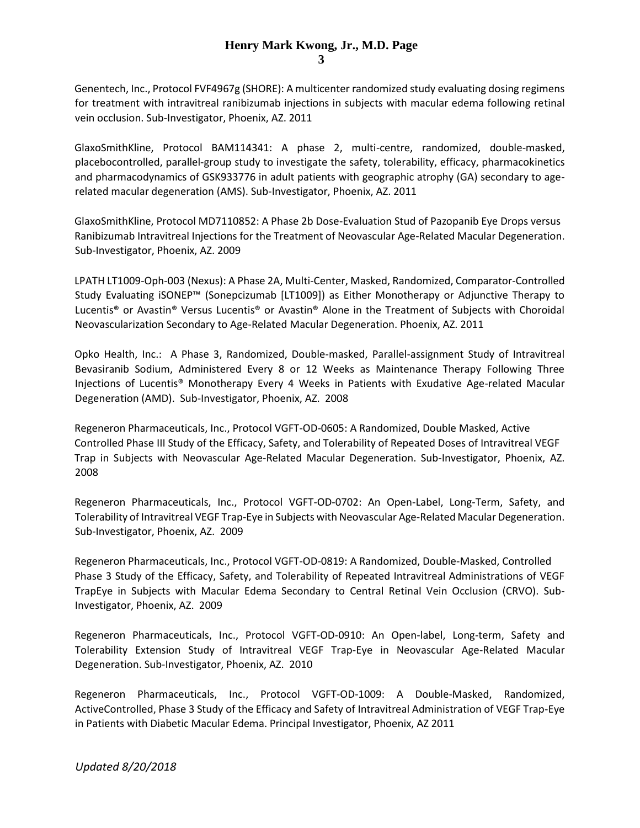### **Henry Mark Kwong, Jr., M.D. Page 3**

Genentech, Inc., Protocol FVF4967g (SHORE): A multicenter randomized study evaluating dosing regimens for treatment with intravitreal ranibizumab injections in subjects with macular edema following retinal vein occlusion. Sub-Investigator, Phoenix, AZ. 2011

GlaxoSmithKline, Protocol BAM114341: A phase 2, multi-centre, randomized, double-masked, placebocontrolled, parallel-group study to investigate the safety, tolerability, efficacy, pharmacokinetics and pharmacodynamics of GSK933776 in adult patients with geographic atrophy (GA) secondary to agerelated macular degeneration (AMS). Sub-Investigator, Phoenix, AZ. 2011

GlaxoSmithKline, Protocol MD7110852: A Phase 2b Dose-Evaluation Stud of Pazopanib Eye Drops versus Ranibizumab Intravitreal Injections for the Treatment of Neovascular Age-Related Macular Degeneration. Sub-Investigator, Phoenix, AZ. 2009

LPATH LT1009-Oph-003 (Nexus): A Phase 2A, Multi-Center, Masked, Randomized, Comparator-Controlled Study Evaluating iSONEP™ (Sonepcizumab [LT1009]) as Either Monotherapy or Adjunctive Therapy to Lucentis® or Avastin® Versus Lucentis® or Avastin® Alone in the Treatment of Subjects with Choroidal Neovascularization Secondary to Age-Related Macular Degeneration. Phoenix, AZ. 2011

Opko Health, Inc.: A Phase 3, Randomized, Double-masked, Parallel-assignment Study of Intravitreal Bevasiranib Sodium, Administered Every 8 or 12 Weeks as Maintenance Therapy Following Three Injections of Lucentis® Monotherapy Every 4 Weeks in Patients with Exudative Age-related Macular Degeneration (AMD). Sub-Investigator, Phoenix, AZ. 2008

Regeneron Pharmaceuticals, Inc., Protocol VGFT-OD-0605: A Randomized, Double Masked, Active Controlled Phase III Study of the Efficacy, Safety, and Tolerability of Repeated Doses of Intravitreal VEGF Trap in Subjects with Neovascular Age-Related Macular Degeneration. Sub-Investigator, Phoenix, AZ. 2008

Regeneron Pharmaceuticals, Inc., Protocol VGFT-OD-0702: An Open-Label, Long-Term, Safety, and Tolerability of Intravitreal VEGF Trap-Eye in Subjects with Neovascular Age-Related Macular Degeneration. Sub-Investigator, Phoenix, AZ. 2009

Regeneron Pharmaceuticals, Inc., Protocol VGFT-OD-0819: A Randomized, Double-Masked, Controlled Phase 3 Study of the Efficacy, Safety, and Tolerability of Repeated Intravitreal Administrations of VEGF TrapEye in Subjects with Macular Edema Secondary to Central Retinal Vein Occlusion (CRVO). Sub-Investigator, Phoenix, AZ. 2009

Regeneron Pharmaceuticals, Inc., Protocol VGFT-OD-0910: An Open-label, Long-term, Safety and Tolerability Extension Study of Intravitreal VEGF Trap-Eye in Neovascular Age-Related Macular Degeneration. Sub-Investigator, Phoenix, AZ. 2010

Regeneron Pharmaceuticals, Inc., Protocol VGFT-OD-1009: A Double-Masked, Randomized, ActiveControlled, Phase 3 Study of the Efficacy and Safety of Intravitreal Administration of VEGF Trap-Eye in Patients with Diabetic Macular Edema. Principal Investigator, Phoenix, AZ 2011

*Updated 8/20/2018*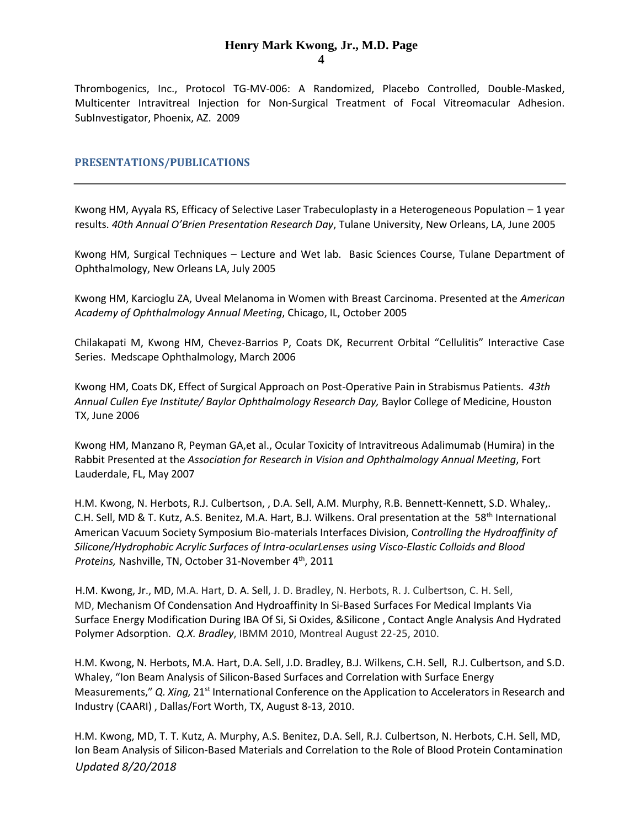#### **Henry Mark Kwong, Jr., M.D. Page 4**

Thrombogenics, Inc., Protocol TG-MV-006: A Randomized, Placebo Controlled, Double-Masked, Multicenter Intravitreal Injection for Non-Surgical Treatment of Focal Vitreomacular Adhesion. SubInvestigator, Phoenix, AZ. 2009

#### **PRESENTATIONS/PUBLICATIONS**

Kwong HM, Ayyala RS, Efficacy of Selective Laser Trabeculoplasty in a Heterogeneous Population – 1 year results. *40th Annual O'Brien Presentation Research Day*, Tulane University, New Orleans, LA, June 2005

Kwong HM, Surgical Techniques – Lecture and Wet lab. Basic Sciences Course, Tulane Department of Ophthalmology, New Orleans LA, July 2005

Kwong HM, Karcioglu ZA, Uveal Melanoma in Women with Breast Carcinoma. Presented at the *American Academy of Ophthalmology Annual Meeting*, Chicago, IL, October 2005

Chilakapati M, Kwong HM, Chevez-Barrios P, Coats DK, Recurrent Orbital "Cellulitis" Interactive Case Series. Medscape Ophthalmology, March 2006

Kwong HM, Coats DK, Effect of Surgical Approach on Post-Operative Pain in Strabismus Patients. *43th Annual Cullen Eye Institute/ Baylor Ophthalmology Research Day,* Baylor College of Medicine, Houston TX, June 2006

Kwong HM, Manzano R, Peyman GA,et al., Ocular Toxicity of Intravitreous Adalimumab (Humira) in the Rabbit Presented at the *Association for Research in Vision and Ophthalmology Annual Meeting*, Fort Lauderdale, FL, May 2007

H.M. Kwong, N. Herbots, R.J. Culbertson, , D.A. Sell, A.M. Murphy, R.B. Bennett-Kennett, S.D. Whaley,. C.H. Sell, MD & T. Kutz, A.S. Benitez, M.A. Hart, B.J. Wilkens. Oral presentation at the 58<sup>th</sup> International American Vacuum Society Symposium Bio-materials Interfaces Division, C*ontrolling the Hydroaffinity of Silicone/Hydrophobic Acrylic Surfaces of Intra-ocularLenses using Visco-Elastic Colloids and Blood*  Proteins, Nashville, TN, October 31-November 4<sup>th</sup>, 2011

H.M. Kwong, Jr., MD, M.A. Hart, D. A. Sell, J. D. Bradley, N. Herbots, R. J. Culbertson, C. H. Sell, MD, Mechanism Of Condensation And Hydroaffinity In Si‐Based Surfaces For Medical Implants Via Surface Energy Modification During IBA Of Si, Si Oxides, &Silicone , Contact Angle Analysis And Hydrated Polymer Adsorption. *Q.X. Bradley*, IBMM 2010, Montreal August 22-25, 2010.

H.M. Kwong, N. Herbots, M.A. Hart, D.A. Sell, J.D. Bradley, B.J. Wilkens, C.H. Sell, R.J. Culbertson, and S.D. Whaley, "Ion Beam Analysis of Silicon-Based Surfaces and Correlation with Surface Energy Measurements," *Q. Xing, 21<sup>st</sup>* International Conference on the Application to Accelerators in Research and Industry (CAARI) , Dallas/Fort Worth, TX, August 8-13, 2010.

*Updated 8/20/2018*  H.M. Kwong, MD, T. T. Kutz, A. Murphy, A.S. Benitez, D.A. Sell, R.J. Culbertson, N. Herbots, C.H. Sell, MD, Ion Beam Analysis of Silicon-Based Materials and Correlation to the Role of Blood Protein Contamination